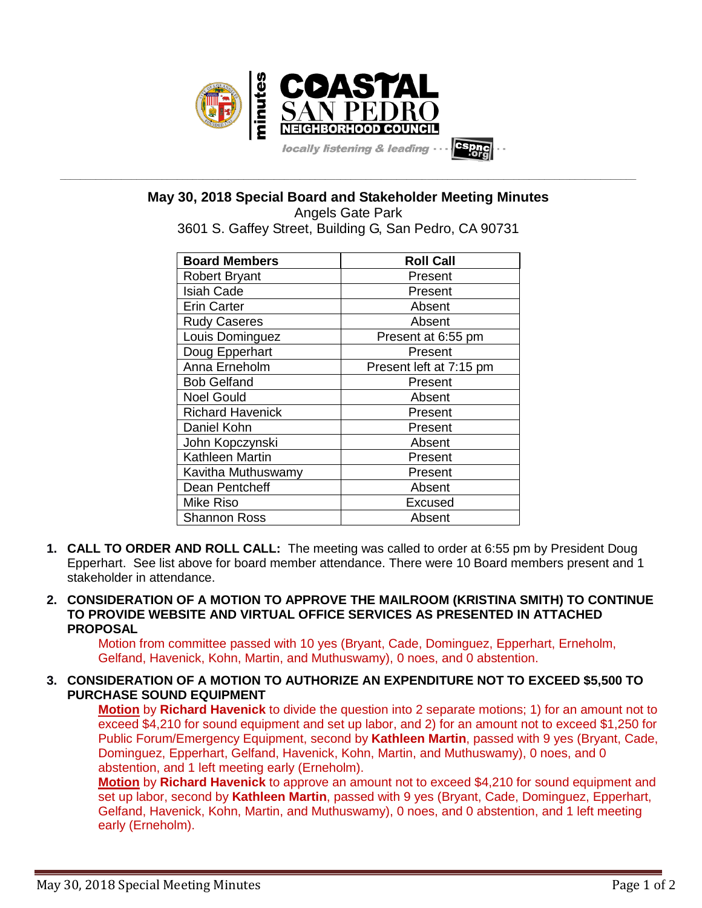

**May 30, 2018 Special Board and Stakeholder Meeting Minutes**

**\_\_\_\_\_\_\_\_\_\_\_\_\_\_\_\_\_\_\_\_\_\_\_\_\_\_\_\_\_\_\_\_\_\_\_\_\_\_\_\_\_\_\_\_\_\_\_\_\_\_\_\_\_\_\_\_\_\_\_\_\_\_\_\_\_\_\_\_\_\_\_\_\_\_\_\_\_\_\_\_\_\_\_\_\_\_\_\_\_\_\_\_\_\_\_\_\_\_\_\_\_\_\_\_\_\_\_\_\_\_\_\_\_**

Angels Gate Park 3601 S. Gaffey Street, Building G, San Pedro, CA 90731

| <b>Board Members</b>    | <b>Roll Call</b>        |
|-------------------------|-------------------------|
| <b>Robert Bryant</b>    | Present                 |
| <b>Isiah Cade</b>       | Present                 |
| <b>Erin Carter</b>      | Absent                  |
| <b>Rudy Caseres</b>     | Absent                  |
| Louis Dominguez         | Present at 6:55 pm      |
| Doug Epperhart          | Present                 |
| Anna Erneholm           | Present left at 7:15 pm |
| <b>Bob Gelfand</b>      | Present                 |
| <b>Noel Gould</b>       | Absent                  |
| <b>Richard Havenick</b> | Present                 |
| Daniel Kohn             | Present                 |
| John Kopczynski         | Absent                  |
| Kathleen Martin         | Present                 |
| Kavitha Muthuswamy      | Present                 |
| Dean Pentcheff          | Absent                  |
| <b>Mike Riso</b>        | Excused                 |
| <b>Shannon Ross</b>     | Absent                  |

- **1. CALL TO ORDER AND ROLL CALL:** The meeting was called to order at 6:55 pm by President Doug Epperhart. See list above for board member attendance. There were 10 Board members present and 1 stakeholder in attendance.
- **2. CONSIDERATION OF A MOTION TO APPROVE THE MAILROOM (KRISTINA SMITH) TO CONTINUE TO PROVIDE WEBSITE AND VIRTUAL OFFICE SERVICES AS PRESENTED IN ATTACHED PROPOSAL**

Motion from committee passed with 10 yes (Bryant, Cade, Dominguez, Epperhart, Erneholm, Gelfand, Havenick, Kohn, Martin, and Muthuswamy), 0 noes, and 0 abstention.

**3. CONSIDERATION OF A MOTION TO AUTHORIZE AN EXPENDITURE NOT TO EXCEED \$5,500 TO PURCHASE SOUND EQUIPMENT**

**Motion** by **Richard Havenick** to divide the question into 2 separate motions; 1) for an amount not to exceed \$4,210 for sound equipment and set up labor, and 2) for an amount not to exceed \$1,250 for Public Forum/Emergency Equipment, second by **Kathleen Martin**, passed with 9 yes (Bryant, Cade, Dominguez, Epperhart, Gelfand, Havenick, Kohn, Martin, and Muthuswamy), 0 noes, and 0 abstention, and 1 left meeting early (Erneholm).

**Motion** by **Richard Havenick** to approve an amount not to exceed \$4,210 for sound equipment and set up labor, second by **Kathleen Martin**, passed with 9 yes (Bryant, Cade, Dominguez, Epperhart, Gelfand, Havenick, Kohn, Martin, and Muthuswamy), 0 noes, and 0 abstention, and 1 left meeting early (Erneholm).